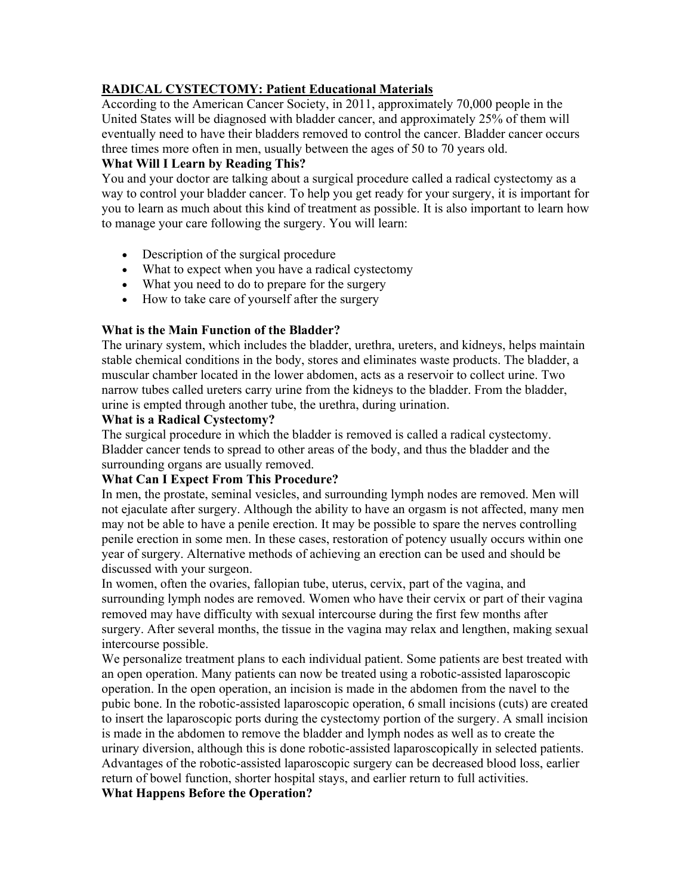# **RADICAL CYSTECTOMY: Patient Educational Materials**

According to the American Cancer Society, in 2011, approximately 70,000 people in the United States will be diagnosed with bladder cancer, and approximately 25% of them will eventually need to have their bladders removed to control the cancer. Bladder cancer occurs three times more often in men, usually between the ages of 50 to 70 years old.

# **What Will I Learn by Reading This?**

You and your doctor are talking about a surgical procedure called a radical cystectomy as a way to control your bladder cancer. To help you get ready for your surgery, it is important for you to learn as much about this kind of treatment as possible. It is also important to learn how to manage your care following the surgery. You will learn:

- Description of the surgical procedure
- What to expect when you have a radical cystectomy
- What you need to do to prepare for the surgery
- How to take care of yourself after the surgery

# **What is the Main Function of the Bladder?**

The urinary system, which includes the bladder, urethra, ureters, and kidneys, helps maintain stable chemical conditions in the body, stores and eliminates waste products. The bladder, a muscular chamber located in the lower abdomen, acts as a reservoir to collect urine. Two narrow tubes called ureters carry urine from the kidneys to the bladder. From the bladder, urine is empted through another tube, the urethra, during urination.

### **What is a Radical Cystectomy?**

The surgical procedure in which the bladder is removed is called a radical cystectomy. Bladder cancer tends to spread to other areas of the body, and thus the bladder and the surrounding organs are usually removed.

### **What Can I Expect From This Procedure?**

In men, the prostate, seminal vesicles, and surrounding lymph nodes are removed. Men will not ejaculate after surgery. Although the ability to have an orgasm is not affected, many men may not be able to have a penile erection. It may be possible to spare the nerves controlling penile erection in some men. In these cases, restoration of potency usually occurs within one year of surgery. Alternative methods of achieving an erection can be used and should be discussed with your surgeon.

In women, often the ovaries, fallopian tube, uterus, cervix, part of the vagina, and surrounding lymph nodes are removed. Women who have their cervix or part of their vagina removed may have difficulty with sexual intercourse during the first few months after surgery. After several months, the tissue in the vagina may relax and lengthen, making sexual intercourse possible.

We personalize treatment plans to each individual patient. Some patients are best treated with an open operation. Many patients can now be treated using a robotic-assisted laparoscopic operation. In the open operation, an incision is made in the abdomen from the navel to the pubic bone. In the robotic-assisted laparoscopic operation, 6 small incisions (cuts) are created to insert the laparoscopic ports during the cystectomy portion of the surgery. A small incision is made in the abdomen to remove the bladder and lymph nodes as well as to create the urinary diversion, although this is done robotic-assisted laparoscopically in selected patients. Advantages of the robotic-assisted laparoscopic surgery can be decreased blood loss, earlier return of bowel function, shorter hospital stays, and earlier return to full activities. **What Happens Before the Operation?**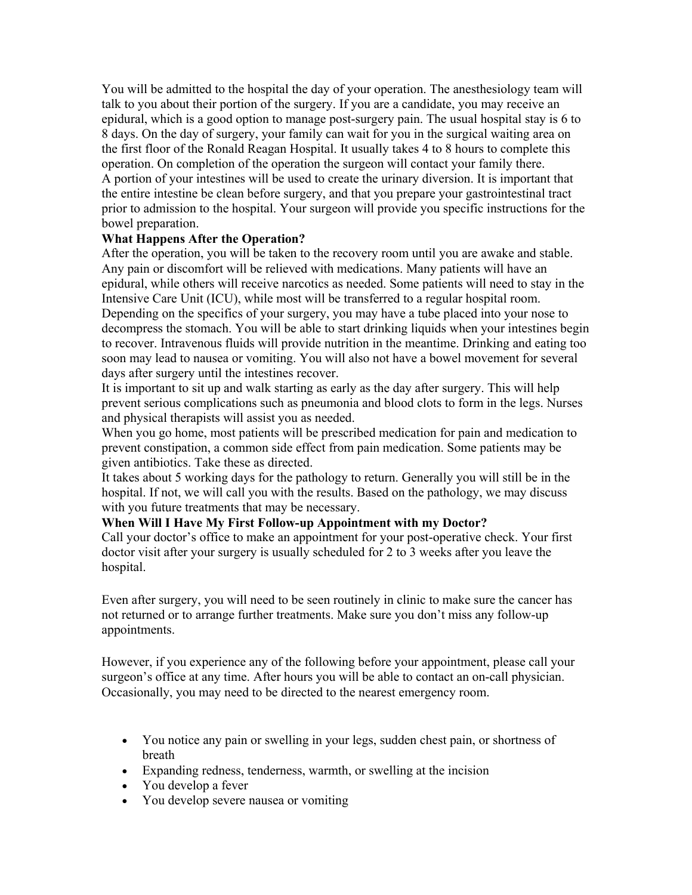You will be admitted to the hospital the day of your operation. The anesthesiology team will talk to you about their portion of the surgery. If you are a candidate, you may receive an epidural, which is a good option to manage post-surgery pain. The usual hospital stay is 6 to 8 days. On the day of surgery, your family can wait for you in the surgical waiting area on the first floor of the Ronald Reagan Hospital. It usually takes 4 to 8 hours to complete this operation. On completion of the operation the surgeon will contact your family there. A portion of your intestines will be used to create the urinary diversion. It is important that the entire intestine be clean before surgery, and that you prepare your gastrointestinal tract prior to admission to the hospital. Your surgeon will provide you specific instructions for the bowel preparation.

### **What Happens After the Operation?**

After the operation, you will be taken to the recovery room until you are awake and stable. Any pain or discomfort will be relieved with medications. Many patients will have an epidural, while others will receive narcotics as needed. Some patients will need to stay in the Intensive Care Unit (ICU), while most will be transferred to a regular hospital room. Depending on the specifics of your surgery, you may have a tube placed into your nose to decompress the stomach. You will be able to start drinking liquids when your intestines begin to recover. Intravenous fluids will provide nutrition in the meantime. Drinking and eating too soon may lead to nausea or vomiting. You will also not have a bowel movement for several days after surgery until the intestines recover.

It is important to sit up and walk starting as early as the day after surgery. This will help prevent serious complications such as pneumonia and blood clots to form in the legs. Nurses and physical therapists will assist you as needed.

When you go home, most patients will be prescribed medication for pain and medication to prevent constipation, a common side effect from pain medication. Some patients may be given antibiotics. Take these as directed.

It takes about 5 working days for the pathology to return. Generally you will still be in the hospital. If not, we will call you with the results. Based on the pathology, we may discuss with you future treatments that may be necessary.

# **When Will I Have My First Follow-up Appointment with my Doctor?**

Call your doctor's office to make an appointment for your post-operative check. Your first doctor visit after your surgery is usually scheduled for 2 to 3 weeks after you leave the hospital.

Even after surgery, you will need to be seen routinely in clinic to make sure the cancer has not returned or to arrange further treatments. Make sure you don't miss any follow-up appointments.

However, if you experience any of the following before your appointment, please call your surgeon's office at any time. After hours you will be able to contact an on-call physician. Occasionally, you may need to be directed to the nearest emergency room.

- You notice any pain or swelling in your legs, sudden chest pain, or shortness of breath
- Expanding redness, tenderness, warmth, or swelling at the incision
- You develop a fever
- You develop severe nausea or vomiting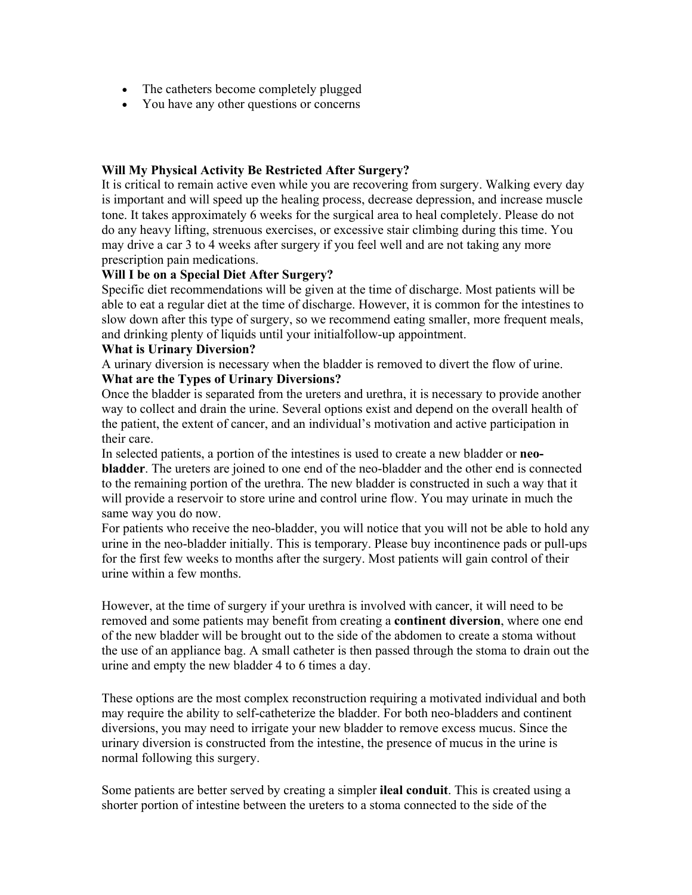- The catheters become completely plugged
- You have any other questions or concerns

### **Will My Physical Activity Be Restricted After Surgery?**

It is critical to remain active even while you are recovering from surgery. Walking every day is important and will speed up the healing process, decrease depression, and increase muscle tone. It takes approximately 6 weeks for the surgical area to heal completely. Please do not do any heavy lifting, strenuous exercises, or excessive stair climbing during this time. You may drive a car 3 to 4 weeks after surgery if you feel well and are not taking any more prescription pain medications.

### **Will I be on a Special Diet After Surgery?**

Specific diet recommendations will be given at the time of discharge. Most patients will be able to eat a regular diet at the time of discharge. However, it is common for the intestines to slow down after this type of surgery, so we recommend eating smaller, more frequent meals, and drinking plenty of liquids until your initialfollow-up appointment.

#### **What is Urinary Diversion?**

A urinary diversion is necessary when the bladder is removed to divert the flow of urine. **What are the Types of Urinary Diversions?**

Once the bladder is separated from the ureters and urethra, it is necessary to provide another way to collect and drain the urine. Several options exist and depend on the overall health of the patient, the extent of cancer, and an individual's motivation and active participation in their care.

In selected patients, a portion of the intestines is used to create a new bladder or **neobladder**. The ureters are joined to one end of the neo-bladder and the other end is connected to the remaining portion of the urethra. The new bladder is constructed in such a way that it will provide a reservoir to store urine and control urine flow. You may urinate in much the same way you do now.

For patients who receive the neo-bladder, you will notice that you will not be able to hold any urine in the neo-bladder initially. This is temporary. Please buy incontinence pads or pull-ups for the first few weeks to months after the surgery. Most patients will gain control of their urine within a few months.

However, at the time of surgery if your urethra is involved with cancer, it will need to be removed and some patients may benefit from creating a **continent diversion**, where one end of the new bladder will be brought out to the side of the abdomen to create a stoma without the use of an appliance bag. A small catheter is then passed through the stoma to drain out the urine and empty the new bladder 4 to 6 times a day.

These options are the most complex reconstruction requiring a motivated individual and both may require the ability to self-catheterize the bladder. For both neo-bladders and continent diversions, you may need to irrigate your new bladder to remove excess mucus. Since the urinary diversion is constructed from the intestine, the presence of mucus in the urine is normal following this surgery.

Some patients are better served by creating a simpler **ileal conduit**. This is created using a shorter portion of intestine between the ureters to a stoma connected to the side of the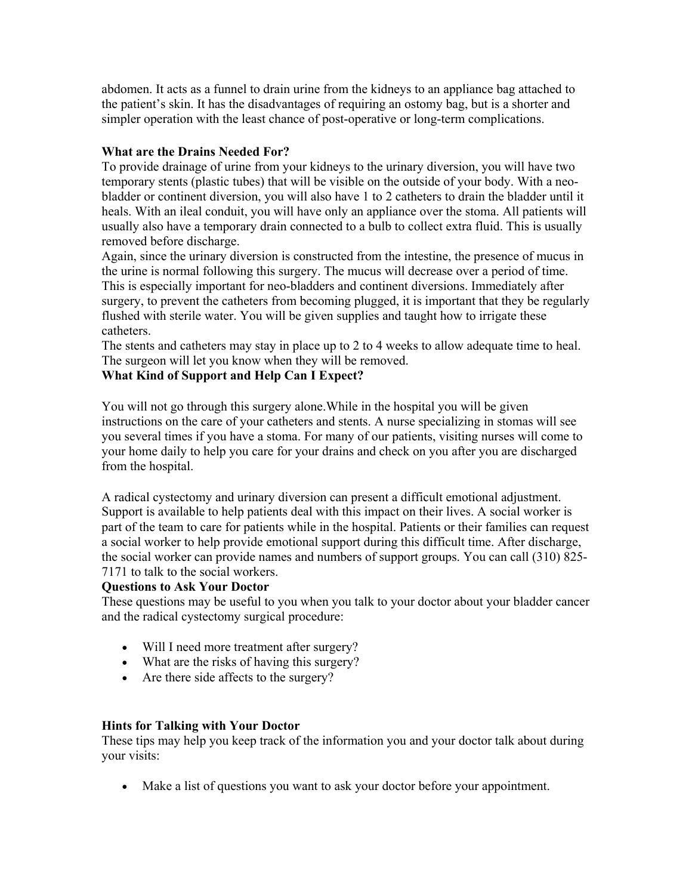abdomen. It acts as a funnel to drain urine from the kidneys to an appliance bag attached to the patient's skin. It has the disadvantages of requiring an ostomy bag, but is a shorter and simpler operation with the least chance of post-operative or long-term complications.

# **What are the Drains Needed For?**

To provide drainage of urine from your kidneys to the urinary diversion, you will have two temporary stents (plastic tubes) that will be visible on the outside of your body. With a neobladder or continent diversion, you will also have 1 to 2 catheters to drain the bladder until it heals. With an ileal conduit, you will have only an appliance over the stoma. All patients will usually also have a temporary drain connected to a bulb to collect extra fluid. This is usually removed before discharge.

Again, since the urinary diversion is constructed from the intestine, the presence of mucus in the urine is normal following this surgery. The mucus will decrease over a period of time. This is especially important for neo-bladders and continent diversions. Immediately after surgery, to prevent the catheters from becoming plugged, it is important that they be regularly flushed with sterile water. You will be given supplies and taught how to irrigate these catheters.

The stents and catheters may stay in place up to 2 to 4 weeks to allow adequate time to heal. The surgeon will let you know when they will be removed.

# **What Kind of Support and Help Can I Expect?**

You will not go through this surgery alone.While in the hospital you will be given instructions on the care of your catheters and stents. A nurse specializing in stomas will see you several times if you have a stoma. For many of our patients, visiting nurses will come to your home daily to help you care for your drains and check on you after you are discharged from the hospital.

A radical cystectomy and urinary diversion can present a difficult emotional adjustment. Support is available to help patients deal with this impact on their lives. A social worker is part of the team to care for patients while in the hospital. Patients or their families can request a social worker to help provide emotional support during this difficult time. After discharge, the social worker can provide names and numbers of support groups. You can call (310) 825- 7171 to talk to the social workers.

### **Questions to Ask Your Doctor**

These questions may be useful to you when you talk to your doctor about your bladder cancer and the radical cystectomy surgical procedure:

- Will I need more treatment after surgery?
- What are the risks of having this surgery?
- Are there side affects to the surgery?

### **Hints for Talking with Your Doctor**

These tips may help you keep track of the information you and your doctor talk about during your visits:

• Make a list of questions you want to ask your doctor before your appointment.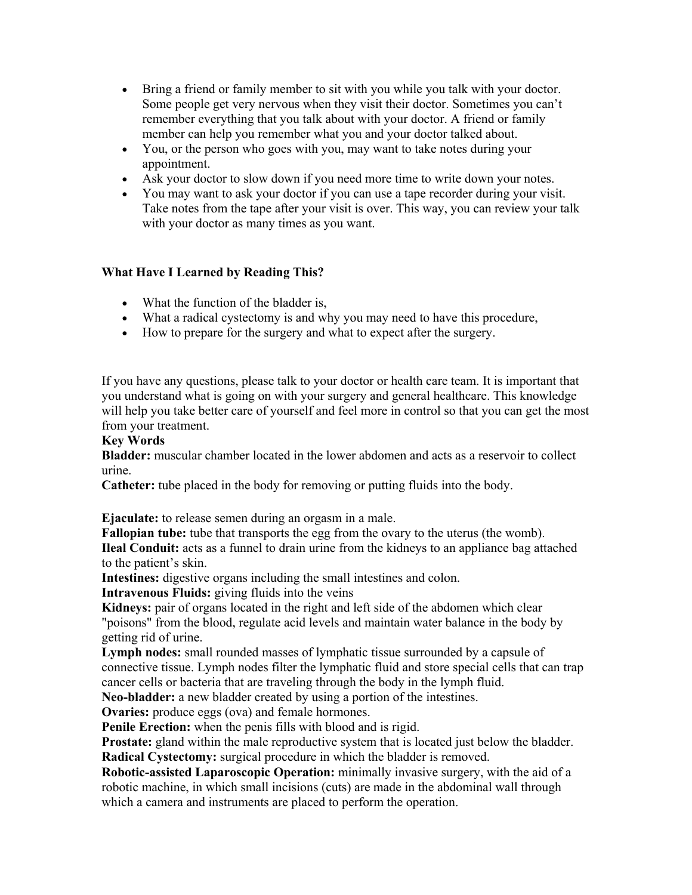- Bring a friend or family member to sit with you while you talk with your doctor. Some people get very nervous when they visit their doctor. Sometimes you can't remember everything that you talk about with your doctor. A friend or family member can help you remember what you and your doctor talked about.
- You, or the person who goes with you, may want to take notes during your appointment.
- Ask your doctor to slow down if you need more time to write down your notes.
- You may want to ask your doctor if you can use a tape recorder during your visit. Take notes from the tape after your visit is over. This way, you can review your talk with your doctor as many times as you want.

# **What Have I Learned by Reading This?**

- What the function of the bladder is,
- What a radical cystectomy is and why you may need to have this procedure,
- How to prepare for the surgery and what to expect after the surgery.

If you have any questions, please talk to your doctor or health care team. It is important that you understand what is going on with your surgery and general healthcare. This knowledge will help you take better care of yourself and feel more in control so that you can get the most from your treatment.

#### **Key Words**

**Bladder:** muscular chamber located in the lower abdomen and acts as a reservoir to collect urine.

**Catheter:** tube placed in the body for removing or putting fluids into the body.

**Ejaculate:** to release semen during an orgasm in a male.

**Fallopian tube:** tube that transports the egg from the ovary to the uterus (the womb). **Ileal Conduit:** acts as a funnel to drain urine from the kidneys to an appliance bag attached to the patient's skin.

**Intestines:** digestive organs including the small intestines and colon.

**Intravenous Fluids:** giving fluids into the veins

**Kidneys:** pair of organs located in the right and left side of the abdomen which clear "poisons" from the blood, regulate acid levels and maintain water balance in the body by getting rid of urine.

**Lymph nodes:** small rounded masses of lymphatic tissue surrounded by a capsule of connective tissue. Lymph nodes filter the lymphatic fluid and store special cells that can trap cancer cells or bacteria that are traveling through the body in the lymph fluid.

**Neo-bladder:** a new bladder created by using a portion of the intestines.

**Ovaries:** produce eggs (ova) and female hormones.

**Penile Erection:** when the penis fills with blood and is rigid.

**Prostate:** gland within the male reproductive system that is located just below the bladder. **Radical Cystectomy:** surgical procedure in which the bladder is removed.

**Robotic-assisted Laparoscopic Operation:** minimally invasive surgery, with the aid of a robotic machine, in which small incisions (cuts) are made in the abdominal wall through which a camera and instruments are placed to perform the operation.